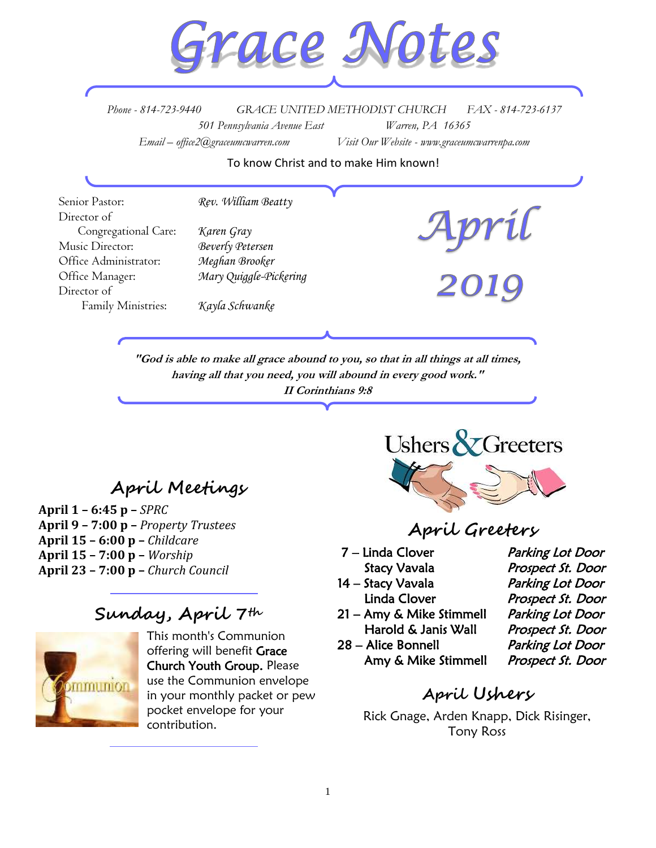

*Phone - 814-723-9440 GRACE UNITED METHODIST CHURCH FAX - 814-723-6137 501 Pennsylvania Avenue East Warren, PA 16365 Email – office2@graceumcwarren.com Visit Our Website - www.graceumcwarrenpa.com* 

To know Christ and to make Him known!

Senior Pastor: *Rev. William Beatty* Director of Congregational Care: *Karen Gray* Music Director: *Beverly Petersen* Office Administrator: *Meghan Brooker* Office Manager: *Mary Quiggle-Pickering* Director of Family Ministries: *Kayla Schwanke*

> **"God is able to make all grace abound to you, so that in all things at all times, having all that you need, you will abound in every good work." II Corinthians 9:8**

## **April Meetings**

**April 1 – 6:45 p –** *SPRC*  **April 9 – 7:00 p –** *Property Trustees* **April 15 – 6:00 p –** *Childcare*  **April 15 – 7:00 p –** *Worship*  **April 23 – 7:00 p –** *Church Council*

## **Sunday, April 7th**



This month's Communion offering will benefit Grace Church Youth Group. Please use the Communion envelope in your monthly packet or pew pocket envelope for your contribution.



### **April Greeters**

- 
- 14 Stacy Vavala Parking Lot Door
- 
- 21 Amy & Mike Stimmell Parking Lot Door Harold & Janis Wall Prospect St. Door
- 28 Alice Bonnell Parking Lot Door Amy & Mike Stimmell Prospect St. Door

7 – Linda Clover Parking Lot Door Stacy Vavala **Prospect St. Door** Linda Clover Prospect St. Door

## **April Ushers**

Rick Gnage, Arden Knapp, Dick Risinger, Tony Ross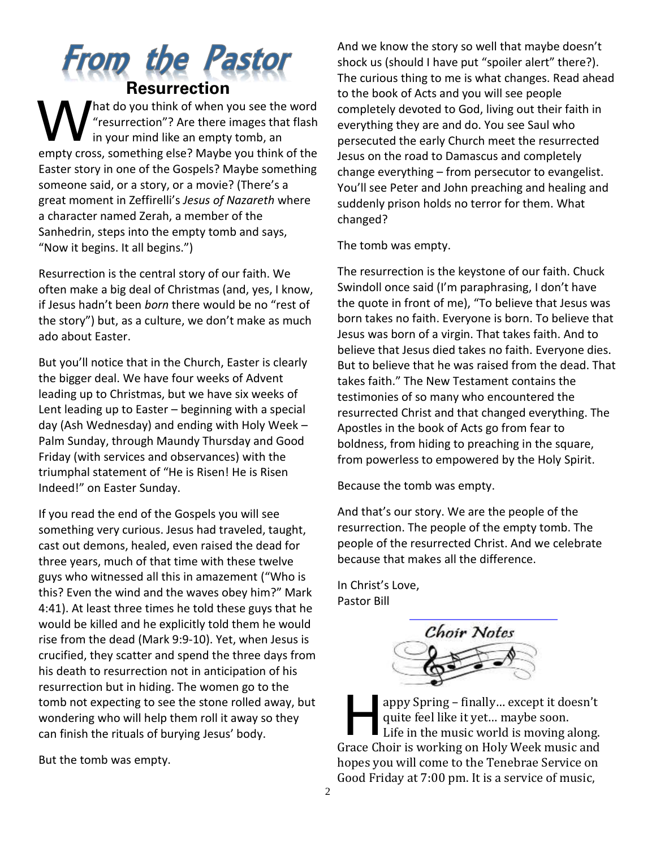## From the Pastor **Resurrection**

hat do you think of when you see the word "resurrection"? Are there images that flash in your mind like an empty tomb, an empty cross, something else? Maybe you think of the Easter story in one of the Gospels? Maybe something someone said, or a story, or a movie? (There's a great moment in Zeffirelli's *Jesus of Nazareth* where a character named Zerah, a member of the Sanhedrin, steps into the empty tomb and says, "Now it begins. It all begins.") W

Resurrection is the central story of our faith. We often make a big deal of Christmas (and, yes, I know, if Jesus hadn't been *born* there would be no "rest of the story") but, as a culture, we don't make as much ado about Easter.

But you'll notice that in the Church, Easter is clearly the bigger deal. We have four weeks of Advent leading up to Christmas, but we have six weeks of Lent leading up to Easter – beginning with a special day (Ash Wednesday) and ending with Holy Week – Palm Sunday, through Maundy Thursday and Good Friday (with services and observances) with the triumphal statement of "He is Risen! He is Risen Indeed!" on Easter Sunday.

If you read the end of the Gospels you will see something very curious. Jesus had traveled, taught, cast out demons, healed, even raised the dead for three years, much of that time with these twelve guys who witnessed all this in amazement ("Who is this? Even the wind and the waves obey him?" Mark 4:41). At least three times he told these guys that he would be killed and he explicitly told them he would rise from the dead (Mark 9:9-10). Yet, when Jesus is crucified, they scatter and spend the three days from his death to resurrection not in anticipation of his resurrection but in hiding. The women go to the tomb not expecting to see the stone rolled away, but wondering who will help them roll it away so they can finish the rituals of burying Jesus' body.

But the tomb was empty.

And we know the story so well that maybe doesn't shock us (should I have put "spoiler alert" there?). The curious thing to me is what changes. Read ahead to the book of Acts and you will see people completely devoted to God, living out their faith in everything they are and do. You see Saul who persecuted the early Church meet the resurrected Jesus on the road to Damascus and completely change everything – from persecutor to evangelist. You'll see Peter and John preaching and healing and suddenly prison holds no terror for them. What changed?

The tomb was empty.

The resurrection is the keystone of our faith. Chuck Swindoll once said (I'm paraphrasing, I don't have the quote in front of me), "To believe that Jesus was born takes no faith. Everyone is born. To believe that Jesus was born of a virgin. That takes faith. And to believe that Jesus died takes no faith. Everyone dies. But to believe that he was raised from the dead. That takes faith." The New Testament contains the testimonies of so many who encountered the resurrected Christ and that changed everything. The Apostles in the book of Acts go from fear to boldness, from hiding to preaching in the square, from powerless to empowered by the Holy Spirit.

Because the tomb was empty.

And that's our story. We are the people of the resurrection. The people of the empty tomb. The people of the resurrected Christ. And we celebrate because that makes all the difference.

In Christ's Love, Pastor Bill



appy Spring – finally… except it doesn't quite feel like it yet… maybe soon. Life in the music world is moving along. Grace Choir is working on Holy Week music and hopes you will come to the Tenebrae Service on Good Friday at 7:00 pm. It is a service of music,  $\prod$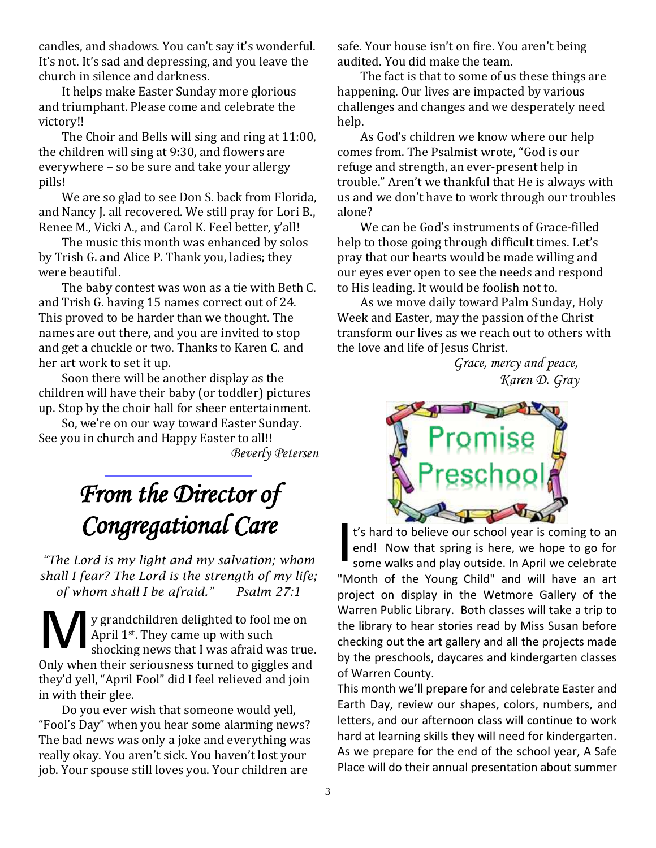candles, and shadows. You can't say it's wonderful. It's not. It's sad and depressing, and you leave the church in silence and darkness.

It helps make Easter Sunday more glorious and triumphant. Please come and celebrate the victory!!

The Choir and Bells will sing and ring at 11:00, the children will sing at 9:30, and flowers are everywhere – so be sure and take your allergy pills!

We are so glad to see Don S. back from Florida, and Nancy J. all recovered. We still pray for Lori B., Renee M., Vicki A., and Carol K. Feel better, y'all!

The music this month was enhanced by solos by Trish G. and Alice P. Thank you, ladies; they were beautiful.

The baby contest was won as a tie with Beth C. and Trish G. having 15 names correct out of 24. This proved to be harder than we thought. The names are out there, and you are invited to stop and get a chuckle or two. Thanks to Karen C. and her art work to set it up.

Soon there will be another display as the children will have their baby (or toddler) pictures up. Stop by the choir hall for sheer entertainment.

So, we're on our way toward Easter Sunday. See you in church and Happy Easter to all!! *Beverly Petersen*

# *From the Director of Congregational Care*

*"The Lord is my light and my salvation; whom shall I fear? The Lord is the strength of my life; of whom shall I be afraid." Psalm 27:1*

y grandchildren delighted to fool me on April 1<sup>st</sup>. They came up with such shocking news that I was afraid was true. Only when their seriousness turned to giggles and they'd yell, "April Fool" did I feel relieved and join in with their glee. M

Do you ever wish that someone would yell, "Fool's Day" when you hear some alarming news? The bad news was only a joke and everything was really okay. You aren't sick. You haven't lost your job. Your spouse still loves you. Your children are

safe. Your house isn't on fire. You aren't being audited. You did make the team.

The fact is that to some of us these things are happening. Our lives are impacted by various challenges and changes and we desperately need help.

As God's children we know where our help comes from. The Psalmist wrote, "God is our refuge and strength, an ever-present help in trouble." Aren't we thankful that He is always with us and we don't have to work through our troubles alone?

We can be God's instruments of Grace-filled help to those going through difficult times. Let's pray that our hearts would be made willing and our eyes ever open to see the needs and respond to His leading. It would be foolish not to.

As we move daily toward Palm Sunday, Holy Week and Easter, may the passion of the Christ transform our lives as we reach out to others with the love and life of Jesus Christ.

*Grace, mercy and peace, Karen D. Gray*



t's hard to believe our school year is coming to an end! Now that spring is here, we hope to go for some walks and play outside. In April we celebrate "Month of the Young Child" and will have an art project on display in the Wetmore Gallery of the Warren Public Library. Both classes will take a trip to the library to hear stories read by Miss Susan before checking out the art gallery and all the projects made by the preschools, daycares and kindergarten classes of Warren County. I

This month we'll prepare for and celebrate Easter and Earth Day, review our shapes, colors, numbers, and letters, and our afternoon class will continue to work hard at learning skills they will need for kindergarten. As we prepare for the end of the school year, A Safe Place will do their annual presentation about summer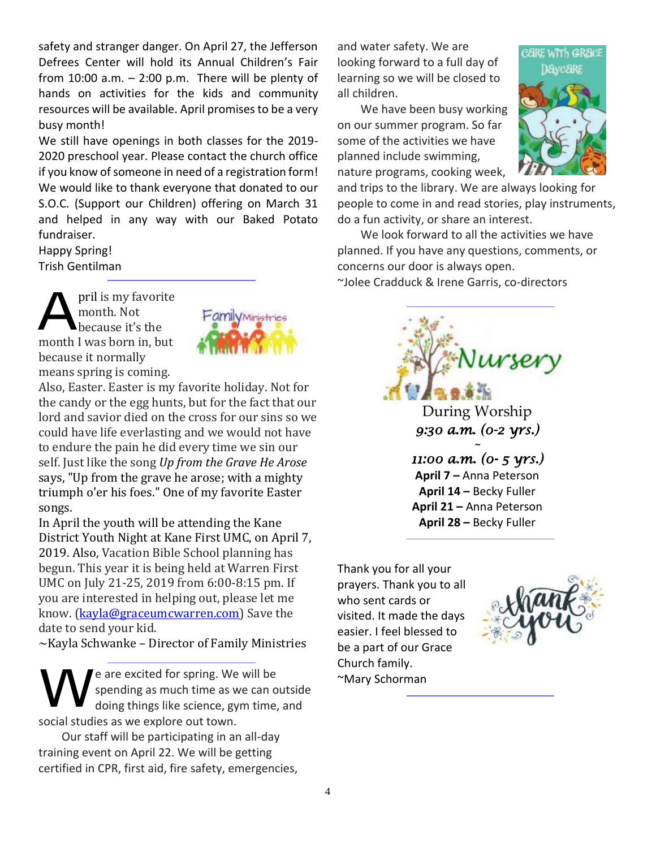safety and stranger danger. On April 27, the Jefferson Defrees Center will hold its Annual Children's Fair from  $10:00$  a.m.  $-2:00$  p.m. There will be plenty of hands on activities for the kids and community resources will be available. April promises to be a very busy month!

We still have openings in both classes for the 2019- 2020 preschool year. Please contact the church office if you know of someone in need of a registration form! We would like to thank everyone that donated to our S.O.C. (Support our Children) offering on March 31 and helped in any way with our Baked Potato fundraiser.

Happy Spring! Trish Gentilman

pril is my favorite month. Not because it's the month I was born in, but because it normally means spring is coming. A



Also, Easter. Easter is my favorite holiday. Not for the candy or the egg hunts, but for the fact that our lord and savior died on the cross for our sins so we could have life everlasting and we would not have to endure the pain he did every time we sin our self. Just like the song *Up from the Grave He Arose* says, "Up from the grave he arose; with a mighty triumph o'er his foes." One of my favorite Easter songs.

In April the youth will be attending the Kane District Youth Night at Kane First UMC, on April 7, 2019. Also, Vacation Bible School planning has begun. This year it is being held at Warren First UMC on July 21-25, 2019 from 6:00-8:15 pm. If you are interested in helping out, please let me know. [\(kayla@graceumcwarren.com\)](mailto:kayla@graceumcwarren.com) Save the date to send your kid.

~Kayla Schwanke – Director of Family Ministries

e are excited for spring. We will be spending as much time as we can outside doing things like science, gym time, and social studies as we explore out town. W

Our staff will be participating in an all-day training event on April 22. We will be getting certified in CPR, first aid, fire safety, emergencies, and water safety. We are looking forward to a full day of learning so we will be closed to all children.

We have been busy working on our summer program. So far some of the activities we have planned include swimming, nature programs, cooking week,



and trips to the library. We are always looking for people to come in and read stories, play instruments, do a fun activity, or share an interest.

We look forward to all the activities we have planned. If you have any questions, comments, or concerns our door is always open. ~Jolee Cradduck & Irene Garris, co-directors



**April 14 –** Becky Fuller **April 21 –** Anna Peterson **April 28 –** Becky Fuller

Thank you for all your prayers. Thank you to all who sent cards or visited. It made the days easier. I feel blessed to be a part of our Grace Church family. ~Mary Schorman

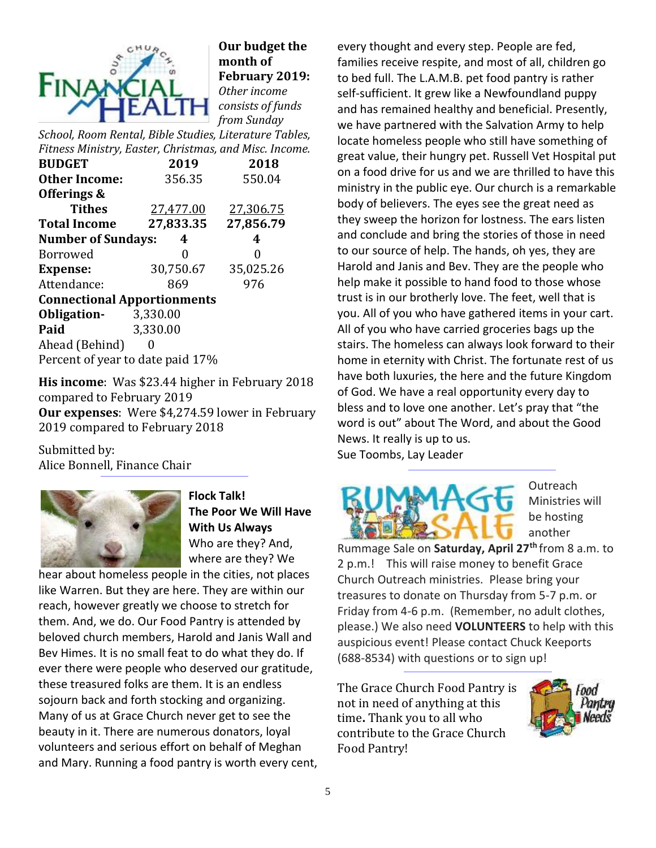

**Our budget the month of February 2019:** *Other income consists of funds from Sunday* 

*School, Room Rental, Bible Studies, Literature Tables, Fitness Ministry, Easter, Christmas, and Misc. Income.*

| <b>BUDGET</b>                      | 2019      | 2018      |  |  |  |  |  |
|------------------------------------|-----------|-----------|--|--|--|--|--|
| <b>Other Income:</b>               | 356.35    | 550.04    |  |  |  |  |  |
| Offerings &                        |           |           |  |  |  |  |  |
| <b>Tithes</b>                      | 27,477.00 | 27,306.75 |  |  |  |  |  |
| <b>Total Income</b>                | 27,833.35 | 27,856.79 |  |  |  |  |  |
| <b>Number of Sundays:</b>          | 4         |           |  |  |  |  |  |
| <b>Borrowed</b>                    | 0         | 0         |  |  |  |  |  |
| <b>Expense:</b>                    | 30,750.67 | 35,025.26 |  |  |  |  |  |
| Attendance:                        | 869       | 976       |  |  |  |  |  |
| <b>Connectional Apportionments</b> |           |           |  |  |  |  |  |
| Obligation-                        | 3,330.00  |           |  |  |  |  |  |
| Paid                               | 3,330.00  |           |  |  |  |  |  |
| Ahead (Behind)                     |           |           |  |  |  |  |  |
| Percent of year to date paid 17%   |           |           |  |  |  |  |  |

**His income**: Was \$23.44 higher in February 2018 compared to February 2019 **Our expenses**: Were \$4,274.59 lower in February 2019 compared to February 2018

Submitted by: Alice Bonnell, Finance Chair



**Flock Talk! The Poor We Will Have With Us Always** Who are they? And, where are they? We

hear about homeless people in the cities, not places like Warren. But they are here. They are within our reach, however greatly we choose to stretch for them. And, we do. Our Food Pantry is attended by beloved church members, Harold and Janis Wall and Bev Himes. It is no small feat to do what they do. If ever there were people who deserved our gratitude, these treasured folks are them. It is an endless sojourn back and forth stocking and organizing. Many of us at Grace Church never get to see the beauty in it. There are numerous donators, loyal volunteers and serious effort on behalf of Meghan and Mary. Running a food pantry is worth every cent, every thought and every step. People are fed, families receive respite, and most of all, children go to bed full. The L.A.M.B. pet food pantry is rather self-sufficient. It grew like a Newfoundland puppy and has remained healthy and beneficial. Presently, we have partnered with the Salvation Army to help locate homeless people who still have something of great value, their hungry pet. Russell Vet Hospital put on a food drive for us and we are thrilled to have this ministry in the public eye. Our church is a remarkable body of believers. The eyes see the great need as they sweep the horizon for lostness. The ears listen and conclude and bring the stories of those in need to our source of help. The hands, oh yes, they are Harold and Janis and Bev. They are the people who help make it possible to hand food to those whose trust is in our brotherly love. The feet, well that is you. All of you who have gathered items in your cart. All of you who have carried groceries bags up the stairs. The homeless can always look forward to their home in eternity with Christ. The fortunate rest of us have both luxuries, the here and the future Kingdom of God. We have a real opportunity every day to bless and to love one another. Let's pray that "the word is out" about The Word, and about the Good News. It really is up to us. Sue Toombs, Lay Leader



Outreach Ministries will be hosting another

Rummage Sale on **Saturday, April 27th** from 8 a.m. to 2 p.m.! This will raise money to benefit Grace Church Outreach ministries. Please bring your treasures to donate on Thursday from 5-7 p.m. or Friday from 4-6 p.m. (Remember, no adult clothes, please.) We also need **VOLUNTEERS** to help with this auspicious event! Please contact Chuck Keeports (688-8534) with questions or to sign up!

The Grace Church Food Pantry is not in need of anything at this time**.** Thank you to all who contribute to the Grace Church Food Pantry!

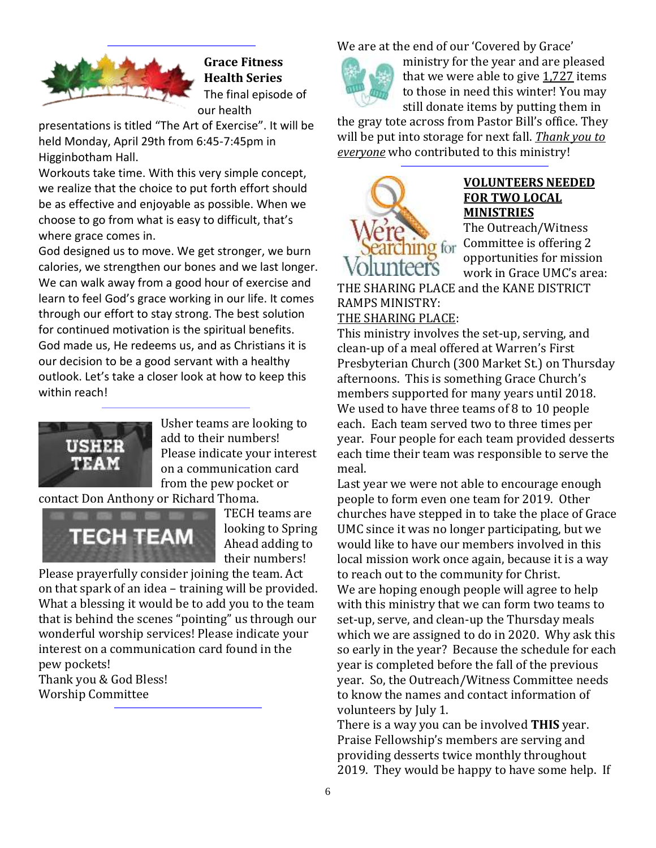

**Grace Fitness Health Series** The final episode of our health

presentations is titled "The Art of Exercise". It will be held Monday, April 29th from 6:45-7:45pm in Higginbotham Hall.

Workouts take time. With this very simple concept, we realize that the choice to put forth effort should be as effective and enjoyable as possible. When we choose to go from what is easy to difficult, that's where grace comes in.

God designed us to move. We get stronger, we burn calories, we strengthen our bones and we last longer. We can walk away from a good hour of exercise and learn to feel God's grace working in our life. It comes through our effort to stay strong. The best solution for continued motivation is the spiritual benefits. God made us, He redeems us, and as Christians it is our decision to be a good servant with a healthy outlook. Let's take a closer look at how to keep this within reach!



Usher teams are looking to add to their numbers! Please indicate your interest on a communication card from the pew pocket or

contact Don Anthony or Richard Thoma.



TECH teams are looking to Spring Ahead adding to their numbers!

Please prayerfully consider joining the team. Act on that spark of an idea – training will be provided. What a blessing it would be to add you to the team that is behind the scenes "pointing" us through our wonderful worship services! Please indicate your interest on a communication card found in the pew pockets! Thank you & God Bless!

Worship Committee

We are at the end of our 'Covered by Grace'



ministry for the year and are pleased that we were able to give  $1,727$  items to those in need this winter! You may still donate items by putting them in

the gray tote across from Pastor Bill's office. They will be put into storage for next fall. *Thank you to everyone* who contributed to this ministry!



#### **VOLUNTEERS NEEDED FOR TWO LOCAL MINISTRIES**

The Outreach/Witness Committee is offering 2 opportunities for mission work in Grace UMC's area:

THE SHARING PLACE and the KANE DISTRICT RAMPS MINISTRY:

#### THE SHARING PLACE:

This ministry involves the set-up, serving, and clean-up of a meal offered at Warren's First Presbyterian Church (300 Market St.) on Thursday afternoons. This is something Grace Church's members supported for many years until 2018. We used to have three teams of 8 to 10 people each. Each team served two to three times per year. Four people for each team provided desserts each time their team was responsible to serve the meal.

Last year we were not able to encourage enough people to form even one team for 2019. Other churches have stepped in to take the place of Grace UMC since it was no longer participating, but we would like to have our members involved in this local mission work once again, because it is a way to reach out to the community for Christ. We are hoping enough people will agree to help with this ministry that we can form two teams to set-up, serve, and clean-up the Thursday meals which we are assigned to do in 2020. Why ask this so early in the year? Because the schedule for each year is completed before the fall of the previous year. So, the Outreach/Witness Committee needs to know the names and contact information of volunteers by July 1.

There is a way you can be involved **THIS** year. Praise Fellowship's members are serving and providing desserts twice monthly throughout 2019. They would be happy to have some help. If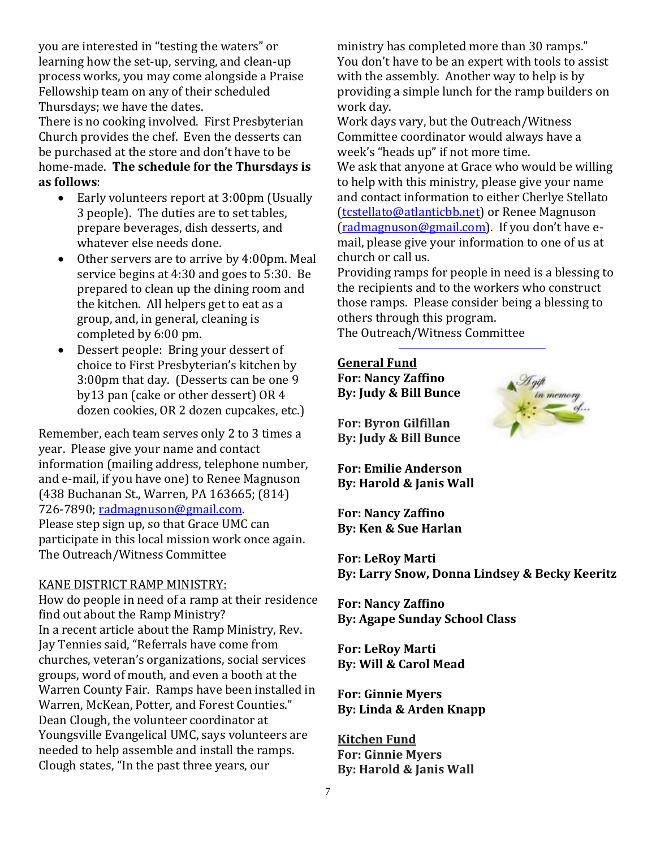you are interested in "testing the waters" or learning how the set-up, serving, and clean-up process works, you may come alongside a Praise Fellowship team on any of their scheduled Thursdays; we have the dates.

There is no cooking involved. First Presbyterian Church provides the chef. Even the desserts can be purchased at the store and don't have to be home-made. **The schedule for the Thursdays is as follows**:

- Early volunteers report at 3:00pm (Usually 3 people). The duties are to set tables, prepare beverages, dish desserts, and whatever else needs done.
- Other servers are to arrive by 4:00pm. Meal service begins at 4:30 and goes to 5:30. Be prepared to clean up the dining room and the kitchen. All helpers get to eat as a group, and, in general, cleaning is completed by 6:00 pm.
- Dessert people: Bring your dessert of choice to First Presbyterian's kitchen by 3:00pm that day. (Desserts can be one 9 by13 pan (cake or other dessert) OR 4 dozen cookies, OR 2 dozen cupcakes, etc.)

Remember, each team serves only 2 to 3 times a year. Please give your name and contact information (mailing address, telephone number, and e-mail, if you have one) to Renee Magnuson (438 Buchanan St., Warren, PA 163665; (814) 726-7890; [radmagnuson@gmail.com.](mailto:radmagnuson@gmail.com) Please step sign up, so that Grace UMC can participate in this local mission work once again. The Outreach/Witness Committee

#### KANE DISTRICT RAMP MINISTRY:

How do people in need of a ramp at their residence find out about the Ramp Ministry? In a recent article about the Ramp Ministry, Rev. Jay Tennies said, "Referrals have come from churches, veteran's organizations, social services groups, word of mouth, and even a booth at the Warren County Fair. Ramps have been installed in Warren, McKean, Potter, and Forest Counties." Dean Clough, the volunteer coordinator at Youngsville Evangelical UMC, says volunteers are needed to help assemble and install the ramps. Clough states, "In the past three years, our

ministry has completed more than 30 ramps." You don't have to be an expert with tools to assist with the assembly. Another way to help is by providing a simple lunch for the ramp builders on work day.

Work days vary, but the Outreach/Witness Committee coordinator would always have a week's "heads up" if not more time.

We ask that anyone at Grace who would be willing to help with this ministry, please give your name and contact information to either Cherlye Stellato [\(tcstellato@atlanticbb.net\)](mailto:tcstellato@atlanticbb.net) or Renee Magnuson [\(radmagnuson@gmail.com](mailto:radmagnuson@gmail.com)). If you don't have email, please give your information to one of us at church or call us.

Providing ramps for people in need is a blessing to the recipients and to the workers who construct those ramps. Please consider being a blessing to others through this program.

The Outreach/Witness Committee

#### **General Fund**

**For: Nancy Zaffino By: Judy & Bill Bunce**

**For: Byron Gilfillan By: Judy & Bill Bunce**

**For: Emilie Anderson By: Harold & Janis Wall**

**For: Nancy Zaffino By: Ken & Sue Harlan**

**For: LeRoy Marti By: Larry Snow, Donna Lindsey & Becky Keeritz**

**For: Nancy Zaffino By: Agape Sunday School Class**

**For: LeRoy Marti By: Will & Carol Mead**

**For: Ginnie Myers By: Linda & Arden Knapp**

**Kitchen Fund For: Ginnie Myers By: Harold & Janis Wall**

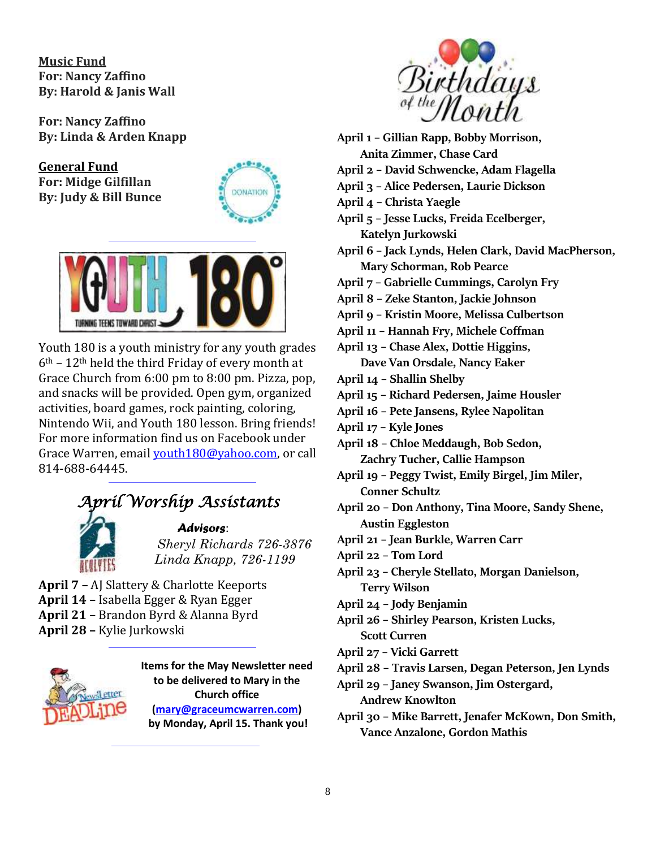**Music Fund For: Nancy Zaffino By: Harold & Janis Wall**

**For: Nancy Zaffino By: Linda & Arden Knapp**

**General Fund For: Midge Gilfillan By: Judy & Bill Bunce**





Youth 180 is a youth ministry for any youth grades  $6<sup>th</sup>$  – 12<sup>th</sup> held the third Friday of every month at Grace Church from 6:00 pm to 8:00 pm. Pizza, pop, and snacks will be provided. Open gym, organized activities, board games, rock painting, coloring, Nintendo Wii, and Youth 180 lesson. Bring friends! For more information find us on Facebook under Grace Warren, email [youth180@yahoo.com,](mailto:youth180@yahoo.com) or call 814-688-64445.

## *April Worship Assistants*



#### *Advisors*:

 *Sheryl Richards 726-3876 Linda Knapp, 726-1199*

**April 7 –** AJ Slattery & Charlotte Keeports **April 14 –** Isabella Egger & Ryan Egger

- 
- **April 21 –** Brandon Byrd & Alanna Byrd
- **April 28 –** Kylie Jurkowski



**Items for the May Newsletter need to be delivered to Mary in the Church office [\(mary@graceumcwarren.com\)](mailto:mary@graceumcwarren.com) by Monday, April 15. Thank you!**



**April 1 – Gillian Rapp, Bobby Morrison, Anita Zimmer, Chase Card April 2 – David Schwencke, Adam Flagella April 3 – Alice Pedersen, Laurie Dickson April 4 – Christa Yaegle April 5 – Jesse Lucks, Freida Ecelberger, Katelyn Jurkowski April 6 – Jack Lynds, Helen Clark, David MacPherson, Mary Schorman, Rob Pearce April 7 – Gabrielle Cummings, Carolyn Fry April 8 – Zeke Stanton, Jackie Johnson April 9 – Kristin Moore, Melissa Culbertson**

**April 11 – Hannah Fry, Michele Coffman**

**April 13 – Chase Alex, Dottie Higgins,** 

**Dave Van Orsdale, Nancy Eaker**

- **April 14 – Shallin Shelby**
- **April 15 – Richard Pedersen, Jaime Housler**
- **April 16 – Pete Jansens, Rylee Napolitan**
- **April 17 – Kyle Jones**

**April 18 – Chloe Meddaugh, Bob Sedon, Zachry Tucher, Callie Hampson**

- **April 19 – Peggy Twist, Emily Birgel, Jim Miler, Conner Schultz**
- **April 20 – Don Anthony, Tina Moore, Sandy Shene, Austin Eggleston**
- **April 21 – Jean Burkle, Warren Carr**
- **April 22 – Tom Lord**
- **April 23 – Cheryle Stellato, Morgan Danielson, Terry Wilson**
- **April 24 – Jody Benjamin**
- **April 26 – Shirley Pearson, Kristen Lucks,**
- **Scott Curren**
- **April 27 – Vicki Garrett**
- **April 28 – Travis Larsen, Degan Peterson, Jen Lynds**
- **April 29 – Janey Swanson, Jim Ostergard, Andrew Knowlton**
- **April 30 – Mike Barrett, Jenafer McKown, Don Smith, Vance Anzalone, Gordon Mathis**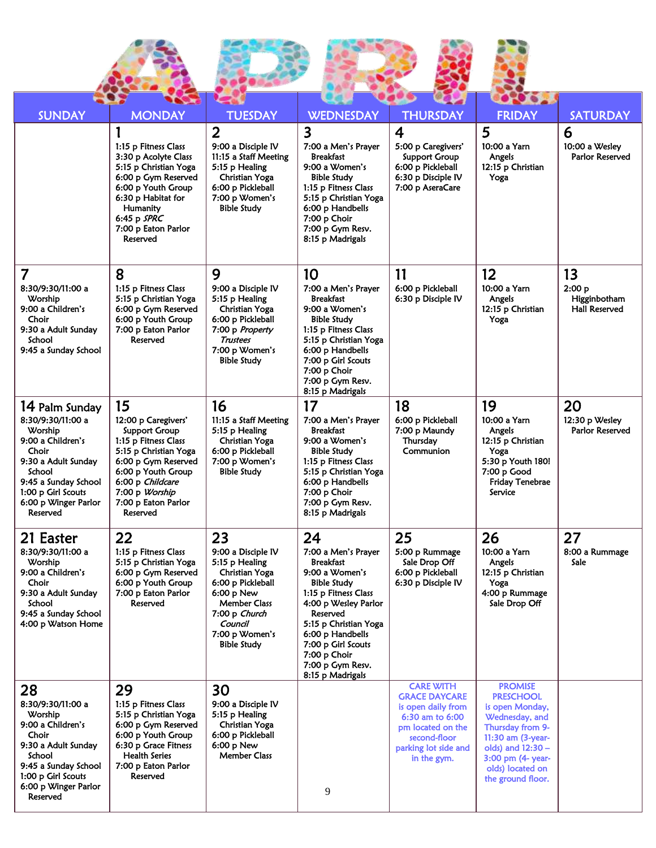| <b>SUNDAY</b>                                                                                                                                                                                   | <b>MONDAY</b><br>1:15 p Fitness Class<br>3:30 p Acolyte Class<br>5:15 p Christian Yoga<br>6:00 p Gym Reserved<br>6:00 p Youth Group<br>6:30 p Habitat for<br>Humanity<br>6:45 p SPRC<br>7:00 p Eaton Parlor<br>Reserved  | <b>TUESDAY</b><br>$\overline{2}$<br>9:00 a Disciple IV<br>11:15 a Staff Meeting<br>5:15 p Healing<br>Christian Yoga<br>6:00 p Pickleball<br>7:00 p Women's<br><b>Bible Study</b>             | <b>WEDNESDAY</b><br>$\overline{\mathbf{3}}$<br>7:00 a Men's Prayer<br><b>Breakfast</b><br>9:00 a Women's<br><b>Bible Study</b><br>1:15 p Fitness Class<br>5:15 p Christian Yoga<br>6:00 p Handbells<br>7:00 p Choir<br>7:00 p Gym Resv.<br>8:15 p Madrigals                  | <b>THURSDAY</b><br>$\boldsymbol{4}$<br>5:00 p Caregivers'<br><b>Support Group</b><br>6:00 p Pickleball<br>6:30 p Disciple IV<br>7:00 p AseraCare              | <b>FRIDAY</b><br>5<br>10:00 a Yarn<br>Angels<br>12:15 p Christian<br>Yoga                                                                                                                             | <b>SATURDAY</b><br>6<br>10:00 a Wesley<br>Parlor Reserved |
|-------------------------------------------------------------------------------------------------------------------------------------------------------------------------------------------------|--------------------------------------------------------------------------------------------------------------------------------------------------------------------------------------------------------------------------|----------------------------------------------------------------------------------------------------------------------------------------------------------------------------------------------|------------------------------------------------------------------------------------------------------------------------------------------------------------------------------------------------------------------------------------------------------------------------------|---------------------------------------------------------------------------------------------------------------------------------------------------------------|-------------------------------------------------------------------------------------------------------------------------------------------------------------------------------------------------------|-----------------------------------------------------------|
| 7<br>8:30/9:30/11:00 a<br>Worship<br>9:00 a Children's<br>Choir<br>9:30 a Adult Sunday<br>School<br>9:45 a Sunday School                                                                        | 8<br>1:15 p Fitness Class<br>5:15 p Christian Yoga<br>6:00 p Gym Reserved<br>6:00 p Youth Group<br>7:00 p Eaton Parlor<br>Reserved                                                                                       | 9<br>9:00 a Disciple IV<br>5:15 p Healing<br>Christian Yoga<br>6:00 p Pickleball<br>7:00 p Property<br><b>Trustees</b><br>7:00 p Women's<br><b>Bible Study</b>                               | 10<br>7:00 a Men's Prayer<br><b>Breakfast</b><br>9:00 a Women's<br><b>Bible Study</b><br>1:15 p Fitness Class<br>5:15 p Christian Yoga<br>6:00 p Handbells<br>7:00 p Girl Scouts<br>7:00 p Choir<br>7:00 p Gym Resv.<br>8:15 p Madrigals                                     | 11<br>6:00 p Pickleball<br>6:30 p Disciple IV                                                                                                                 | 12<br>10:00 a Yarn<br>Angels<br>12:15 p Christian<br>Yoga                                                                                                                                             | 13<br>2:00 p<br>Higginbotham<br><b>Hall Reserved</b>      |
| 14 Palm Sunday<br>8:30/9:30/11:00 a<br>Worship<br>9:00 a Children's<br>Choir<br>9:30 a Adult Sunday<br>School<br>9:45 a Sunday School<br>1:00 p Girl Scouts<br>6:00 p Winger Parlor<br>Reserved | 15<br>12:00 p Caregivers'<br><b>Support Group</b><br>1:15 p Fitness Class<br>5:15 p Christian Yoga<br>6:00 p Gym Reserved<br>6:00 p Youth Group<br>6:00 p Childcare<br>7:00 p Worship<br>7:00 p Eaton Parlor<br>Reserved | 16<br>11:15 a Staff Meeting<br>5:15 p Healing<br>Christian Yoga<br>6:00 p Pickleball<br>7:00 p Women's<br><b>Bible Study</b>                                                                 | 17<br>7:00 a Men's Prayer<br><b>Breakfast</b><br>9:00 a Women's<br><b>Bible Study</b><br>1:15 p Fitness Class<br>5:15 p Christian Yoga<br>6:00 p Handbells<br>7:00 p Choir<br>7:00 p Gym Resv.<br>8:15 p Madrigals                                                           | 18<br>6:00 p Pickleball<br>7:00 p Maundy<br>Thursday<br>Communion                                                                                             | 19<br>10:00 a Yarn<br>Angels<br>12:15 p Christian<br>Yoga<br>5:30 p Youth 180!<br>7:00 p Good<br><b>Friday Tenebrae</b><br>Service                                                                    | 20<br>12:30 p Wesley<br>Parlor Reserved                   |
| 21 Easter<br>8:30/9:30/11:00 a<br>Worship<br>9:00 a Children's<br>Choir<br>9:30 a Adult Sunday<br>School<br>9:45 a Sunday School<br>4:00 p Watson Home                                          | 22<br>1:15 p Fitness Class<br>5:15 p Christian Yoga<br>6:00 p Gym Reserved<br>6:00 p Youth Group<br>7:00 p Eaton Parlor<br>Reserved                                                                                      | 23<br>9:00 a Disciple IV<br>5:15 p Healing<br>Christian Yoga<br>6:00 p Pickleball<br>$6:00 p$ New<br><b>Member Class</b><br>7:00 p Church<br>Council<br>7:00 p Women's<br><b>Bible Study</b> | 24<br>7:00 a Men's Prayer<br><b>Breakfast</b><br>9:00 a Women's<br><b>Bible Study</b><br>1:15 p Fitness Class<br>4:00 p Wesley Parlor<br>Reserved<br>5:15 p Christian Yoga<br>6:00 p Handbells<br>7:00 p Girl Scouts<br>7:00 p Choir<br>7:00 p Gym Resv.<br>8:15 p Madrigals | 25<br>5:00 p Rummage<br>Sale Drop Off<br>6:00 p Pickleball<br>6:30 p Disciple IV                                                                              | 26<br>10:00 a Yarn<br>Angels<br>12:15 p Christian<br>Yoga<br>4:00 p Rummage<br>Sale Drop Off                                                                                                          | 27<br>8:00 a Rummage<br>Sale                              |
| 28<br>8:30/9:30/11:00 a<br>Worship<br>9:00 a Children's<br>Choir<br>9:30 a Adult Sunday<br>School<br>9:45 a Sunday School<br>1:00 p Girl Scouts<br>6:00 p Winger Parlor<br>Reserved             | 29<br>1:15 p Fitness Class<br>5:15 p Christian Yoga<br>6:00 p Gym Reserved<br>6:00 p Youth Group<br>6:30 p Grace Fitness<br><b>Health Series</b><br>7:00 p Eaton Parlor<br>Reserved                                      | 30<br>9:00 a Disciple IV<br>5:15 p Healing<br>Christian Yoga<br>6:00 p Pickleball<br>$6:00 p$ New<br><b>Member Class</b>                                                                     | 9                                                                                                                                                                                                                                                                            | <b>CARE WITH</b><br><b>GRACE DAYCARE</b><br>is open daily from<br>6:30 am to 6:00<br>pm located on the<br>second-floor<br>parking lot side and<br>in the gym. | <b>PROMISE</b><br><b>PRESCHOOL</b><br>is open Monday,<br>Wednesday, and<br>Thursday from 9-<br>11:30 am (3-year-<br>olds) and $12:30 -$<br>3:00 pm (4- year-<br>olds) located on<br>the ground floor. |                                                           |